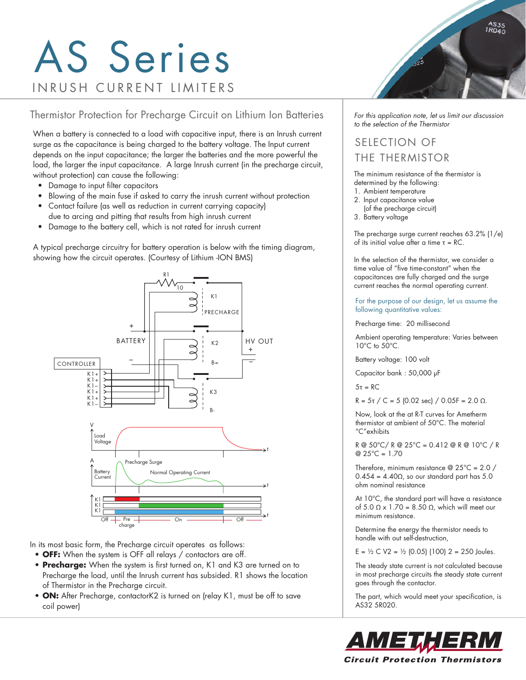# AS Series INRUSH CURRENT LIMITERS

Thermistor Protection for Precharge Circuit on Lithium Ion Batteries

When a battery is connected to a load with capacitive input, there is an Inrush current surge as the capacitance is being charged to the battery voltage. The Input current depends on the input capacitance; the larger the batteries and the more powerful the load, the larger the input capacitance. A large Inrush current (in the precharge circuit, without protection) can cause the following:

- Damage to input filter capacitors
- Blowing of the main fuse if asked to carry the inrush current without protection
- Contact failure (as well as reduction in current carrying capacity)
- due to arcing and pitting that results from high inrush current
- Damage to the battery cell, which is not rated for inrush current

A typical precharge circuitry for battery operation is below with the timing diagram, showing how the circuit operates. (Courtesy of Lithium -ION BMS)



In its most basic form, the Precharge circuit operates as follows:

- **OFF:** When the system is OFF all relays / contactors are off.
- **Precharge:** When the system is first turned on, K1 and K3 are turned on to Precharge the load, until the Inrush current has subsided. R1 shows the location of Thermistor in the Precharge circuit.
- **ON:** After Precharge, contactorK2 is turned on (relay K1, must be off to save coil power)



*For this application note, let us limit our discussion to the selection of the Thermistor*

### SELECTION OF THE THERMISTOR

The minimum resistance of the thermistor is determined by the following:

- 1. Ambient temperature
- 2. Input capacitance value
- (of the precharge circuit)
- 3. Battery voltage

The precharge surge current reaches 63.2% (1/e) of its initial value after a time τ = RC.

In the selection of the thermistor, we consider a time value of "five time-constant" when the capacitances are fully charged and the surge current reaches the normal operating current.

For the purpose of our design, let us assume the following quantitative values:

Precharge time: 20 millisecond

Ambient operating temperature: Varies between 10°C to 50°C.

Battery voltage: 100 volt

Capacitor bank : 50,000 µF

5τ = RC

R =  $5\tau$  / C = 5 (0.02 sec) / 0.05F = 2.0  $\Omega$ .

Now, look at the at R-T curves for Ametherm thermistor at ambient of 50°C. The material "C"exhibits

R @ 50°C/ R @ 25°C = 0.412 @ R @ 10°C / R  $@ 25^{\circ}C = 1.70$ 

Therefore, minimum resistance @ 25°C = 2.0 /  $0.454 = 4.40\Omega$ , so our standard part has 5.0 ohm nominal resistance

At 10°C, the standard part will have a resistance of 5.0  $\Omega$  x 1.70 = 8.50  $\Omega$ , which will meet our minimum resistance.

Determine the energy the thermistor needs to handle with out self-destruction,

 $E = \frac{1}{2}$  C V2 =  $\frac{1}{2}$  (0.05) (100) 2 = 250 Joules.

The steady state current is not calculated because in most precharge circuits the steady state current goes through the contactor.

The part, which would meet your specification, is AS32 5R020.

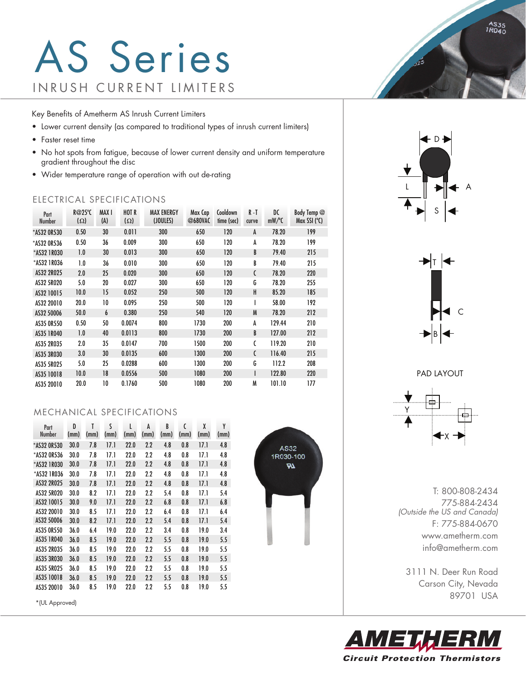## AS Series INRUSH CURRENT LIMITERS

Key Benefits of Ametherm AS Inrush Current Limiters

- Lower current density (as compared to traditional types of inrush current limiters)
- Faster reset time
- No hot spots from fatigue, because of lower current density and uniform temperature gradient throughout the disc
- Wider temperature range of operation with out de-rating

#### ELECTRICAL SPECIFICATIONS

| Part<br><b>Number</b> | R@25°C<br>$(\Omega)$ | MAX I<br>(A) | <b>HOT R</b><br>$(\Omega)$ | <b>MAX ENERGY</b><br>(JOULES) | Max Cap<br>@680VAC | Cooldown<br>time (sec) | R-T<br>curve | DC<br>$mW$ /°C | Body Temp @<br>Max SSI $(°C)$ |
|-----------------------|----------------------|--------------|----------------------------|-------------------------------|--------------------|------------------------|--------------|----------------|-------------------------------|
| *AS32 OR530           | 0.50                 | 30           | 0.011                      | 300                           | 650                | 120                    | A            | 78.20          | 199                           |
| *AS32 OR536           | 0.50                 | 36           | 0.009                      | 300                           | 650                | 120                    | A            | 78.20          | 199                           |
| *AS32 1R030           | 1.0                  | 30           | 0.013                      | 300                           | 650                | 120                    | B            | 79.40          | 215                           |
| *AS32 1R036           | 1.0                  | 36           | 0.010                      | 300                           | 650                | 120                    | B            | 79.40          | 215                           |
| AS32 2R025            | 2.0                  | 25           | 0.020                      | 300                           | 650                | 120                    | C            | 78.20          | 220                           |
| AS32 5R020            | 5.0                  | 20           | 0.027                      | 300                           | 650                | 120                    | G            | 78.20          | 255                           |
| AS32 10015            | 10.0                 | 15           | 0.052                      | 250                           | 500                | 120                    | H            | 85.20          | 185                           |
| AS32 20010            | 20.0                 | 10           | 0.095                      | 250                           | 500                | 120                    | I            | 58.00          | 192                           |
| AS32 50006            | 50.0                 | 6            | 0.380                      | 250                           | 540                | 120                    | M            | 78.20          | 212                           |
| AS35 OR550            | 0.50                 | 50           | 0.0074                     | 800                           | 1730               | 200                    | A            | 129.44         | 210                           |
| AS35 1R040            | 1.0                  | 40           | 0.0113                     | 800                           | 1730               | 200                    | B            | 127.00         | 212                           |
| AS35 2R035            | 2.0                  | 35           | 0.0147                     | 700                           | 1500               | 200                    | C            | 119.20         | 210                           |
| AS35 3R030            | 3.0                  | 30           | 0.0135                     | 600                           | 1300               | 200                    | C            | 116.40         | 215                           |
| AS35 5R025            | 5.0                  | 25           | 0.0288                     | 600                           | 1300               | 200                    | G            | 112.2          | 208                           |
| AS35 10018            | 10.0                 | 18           | 0.0556                     | 500                           | 1080               | 200                    | I            | 122.80         | 220                           |
| AS35 20010            | 20.0                 | 10           | 0.1760                     | 500                           | 1080               | 200                    | M            | 101.10         | 177                           |

#### MECHANICAL SPECIFICATIONS

| Part<br><b>Number</b> | D    | T    | S    | L    | A       | R    | C    | X    | Y    |
|-----------------------|------|------|------|------|---------|------|------|------|------|
|                       | (mm) | (mm) | (mm) | (mm) | (mm)    | (mm) | (mm) | (mm) | (mm) |
| *AS32 OR530           | 30.0 | 7.8  | 17.1 | 22.0 | 2.2     | 4.8  | 0.8  | 17.1 | 4.8  |
| *AS32 OR536           | 30.0 | 7.8  | 17.1 | 22.0 | 2.2     | 4.8  | 0.8  | 17.1 | 4.8  |
| *AS32 1R030           | 30.0 | 7.8  | 17.1 | 22.0 | $2.2\,$ | 4.8  | 0.8  | 17.1 | 4.8  |
| *AS32 1RO36           | 30.0 | 7.8  | 17.1 | 22.0 | 2.2     | 4.8  | 0.8  | 17.1 | 4.8  |
| AS32 2R025            | 30.0 | 7.8  | 17.1 | 22.0 | $2.2\,$ | 4.8  | 0.8  | 17.1 | 4.8  |
| AS32 5R020            | 30.0 | 8.2  | 17.1 | 22.0 | 2.2     | 5.4  | 0.8  | 17.1 | 5.4  |
| AS32 10015            | 30.0 | 9.0  | 17.1 | 22.0 | 2.2     | 6.8  | 0.8  | 17.1 | 6.8  |
| AS32 20010            | 30.0 | 8.5  | 17.1 | 22.0 | 2.2     | 6.4  | 0.8  | 17.1 | 6.4  |
| AS32 50006            | 30.0 | 8.2  | 17.1 | 22.0 | 2.2     | 5.4  | 0.8  | 17.1 | 5.4  |
| AS35 OR550            | 36.0 | 6.4  | 19.0 | 22.0 | 2.2     | 3.4  | 0.8  | 19.0 | 3.4  |
| AS35 1R040            | 36.0 | 8.5  | 19.0 | 22.0 | 2.2     | 5.5  | 0.8  | 19.0 | 5.5  |
| AS35 2R035            | 36.0 | 8.5  | 19.0 | 22.0 | 2.2     | 5.5  | 0.8  | 19.0 | 5.5  |
| AS35 3R030            | 36.0 | 8.5  | 19.0 | 22.0 | $2.2\,$ | 5.5  | 0.8  | 19.0 | 5.5  |
| AS35 5R025            | 36.0 | 8.5  | 19.0 | 22.0 | 2.2     | 5.5  | 0.8  | 19.0 | 5.5  |
| AS35 10018            | 36.0 | 8.5  | 19.0 | 22.0 | $2.2\,$ | 5.5  | 0.8  | 19.0 | 5.5  |
| AS35 20010            | 36.0 | 8.5  | 19.0 | 22.0 | 2.2     | 5.5  | 0.8  | 19.0 | 5.5  |

\*(UL Approved)



D L ∥DH<del>(</del> A S

 $\sqrt{25}$ 



PAD LAYOUT ÷. Y X

T: 800-808-2434 775-884-2434 *(Outside the US and Canada)* F: 775-884-0670 www.ametherm.com info@ametherm.com

3111 N. Deer Run Road Carson City, Nevada 89701 USA



AS35